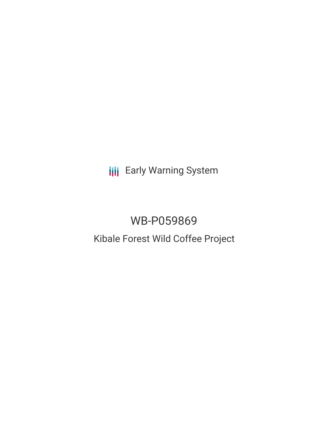**III** Early Warning System

# WB-P059869 Kibale Forest Wild Coffee Project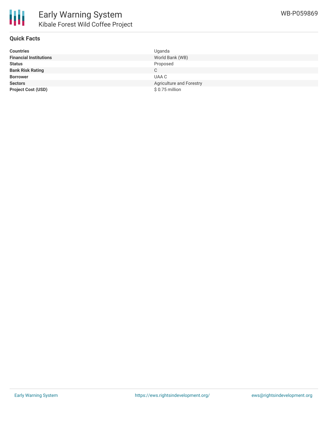

### **Quick Facts**

| <b>Countries</b>              | Uganda                   |
|-------------------------------|--------------------------|
| <b>Financial Institutions</b> | World Bank (WB)          |
| <b>Status</b>                 | Proposed                 |
| <b>Bank Risk Rating</b>       | C.                       |
| <b>Borrower</b>               | UAA C                    |
| <b>Sectors</b>                | Agriculture and Forestry |
| <b>Project Cost (USD)</b>     | $$0.75$ million          |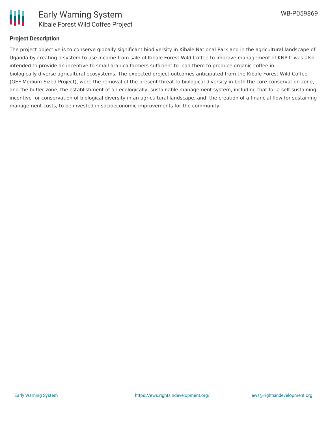

## **Project Description**

The project objective is to conserve globally significant biodiversity in Kibale National Park and in the agricultural landscape of Uganda by creating a system to use income from sale of Kibale Forest Wild Coffee to improve management of KNP It was also intended to provide an incentive to small arabica farmers sufficient to lead them to produce organic coffee in biologically diverse agricultural ecosystems. The expected project outcomes anticipated from the Kibale Forest Wild Coffee (GEF Medium-Sized Project), were the removal of the present threat to biological diversity in both the core conservation zone, and the buffer zone, the establishment of an ecologically, sustainable management system, including that for a self-sustaining incentive for conservation of biological diversity in an agricultural landscape, and, the creation of a financial flow for sustaining management costs, to be invested in socioeconomic improvements for the community.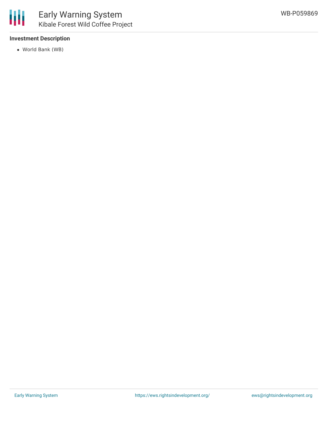

## **Investment Description**

World Bank (WB)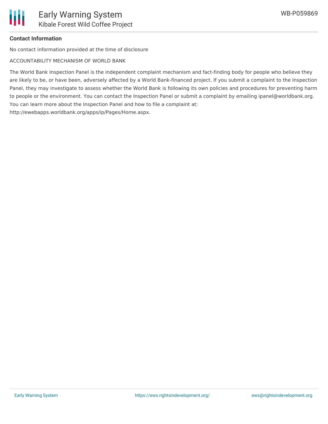

#### **Contact Information**

No contact information provided at the time of disclosure

ACCOUNTABILITY MECHANISM OF WORLD BANK

The World Bank Inspection Panel is the independent complaint mechanism and fact-finding body for people who believe they are likely to be, or have been, adversely affected by a World Bank-financed project. If you submit a complaint to the Inspection Panel, they may investigate to assess whether the World Bank is following its own policies and procedures for preventing harm to people or the environment. You can contact the Inspection Panel or submit a complaint by emailing ipanel@worldbank.org. You can learn more about the Inspection Panel and how to file a complaint at:

http://ewebapps.worldbank.org/apps/ip/Pages/Home.aspx.